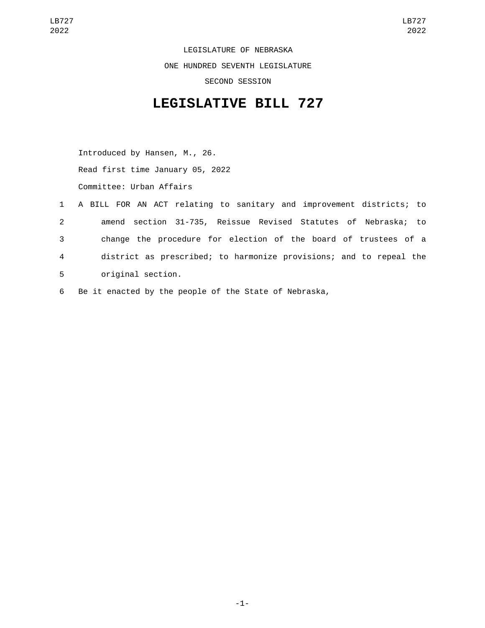LEGISLATURE OF NEBRASKA ONE HUNDRED SEVENTH LEGISLATURE SECOND SESSION

## **LEGISLATIVE BILL 727**

Introduced by Hansen, M., 26. Read first time January 05, 2022 Committee: Urban Affairs

- 1 A BILL FOR AN ACT relating to sanitary and improvement districts; to 2 amend section 31-735, Reissue Revised Statutes of Nebraska; to 3 change the procedure for election of the board of trustees of a 4 district as prescribed; to harmonize provisions; and to repeal the 5 original section.
- 6 Be it enacted by the people of the State of Nebraska,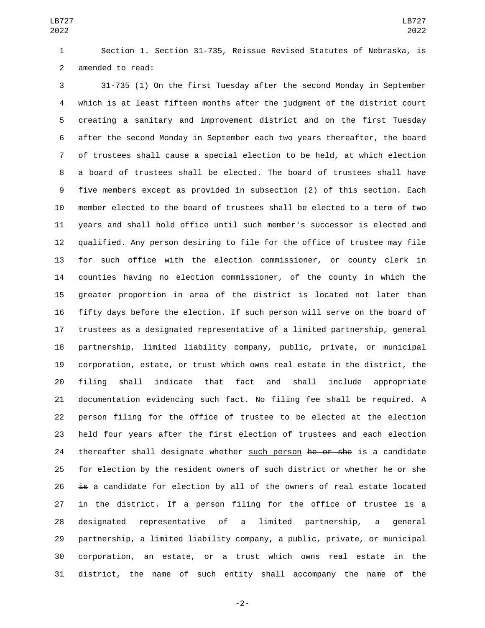Section 1. Section 31-735, Reissue Revised Statutes of Nebraska, is 2 amended to read:

 31-735 (1) On the first Tuesday after the second Monday in September which is at least fifteen months after the judgment of the district court creating a sanitary and improvement district and on the first Tuesday after the second Monday in September each two years thereafter, the board of trustees shall cause a special election to be held, at which election a board of trustees shall be elected. The board of trustees shall have five members except as provided in subsection (2) of this section. Each member elected to the board of trustees shall be elected to a term of two years and shall hold office until such member's successor is elected and qualified. Any person desiring to file for the office of trustee may file for such office with the election commissioner, or county clerk in counties having no election commissioner, of the county in which the greater proportion in area of the district is located not later than fifty days before the election. If such person will serve on the board of trustees as a designated representative of a limited partnership, general partnership, limited liability company, public, private, or municipal corporation, estate, or trust which owns real estate in the district, the filing shall indicate that fact and shall include appropriate documentation evidencing such fact. No filing fee shall be required. A person filing for the office of trustee to be elected at the election held four years after the first election of trustees and each election 24 thereafter shall designate whether such person he or she is a candidate 25 for election by the resident owners of such district or whether he or she is a candidate for election by all of the owners of real estate located in the district. If a person filing for the office of trustee is a designated representative of a limited partnership, a general partnership, a limited liability company, a public, private, or municipal corporation, an estate, or a trust which owns real estate in the district, the name of such entity shall accompany the name of the

-2-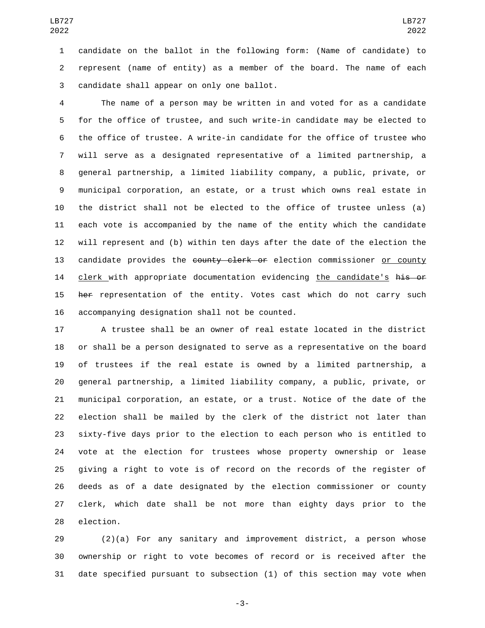candidate on the ballot in the following form: (Name of candidate) to represent (name of entity) as a member of the board. The name of each 3 candidate shall appear on only one ballot.

 The name of a person may be written in and voted for as a candidate for the office of trustee, and such write-in candidate may be elected to the office of trustee. A write-in candidate for the office of trustee who will serve as a designated representative of a limited partnership, a general partnership, a limited liability company, a public, private, or municipal corporation, an estate, or a trust which owns real estate in the district shall not be elected to the office of trustee unless (a) each vote is accompanied by the name of the entity which the candidate will represent and (b) within ten days after the date of the election the 13 candidate provides the county clerk or election commissioner or county 14 clerk with appropriate documentation evidencing the candidate's his or 15 her representation of the entity. Votes cast which do not carry such 16 accompanying designation shall not be counted.

 A trustee shall be an owner of real estate located in the district or shall be a person designated to serve as a representative on the board of trustees if the real estate is owned by a limited partnership, a general partnership, a limited liability company, a public, private, or municipal corporation, an estate, or a trust. Notice of the date of the election shall be mailed by the clerk of the district not later than sixty-five days prior to the election to each person who is entitled to vote at the election for trustees whose property ownership or lease giving a right to vote is of record on the records of the register of deeds as of a date designated by the election commissioner or county clerk, which date shall be not more than eighty days prior to the 28 election.

 (2)(a) For any sanitary and improvement district, a person whose ownership or right to vote becomes of record or is received after the date specified pursuant to subsection (1) of this section may vote when

-3-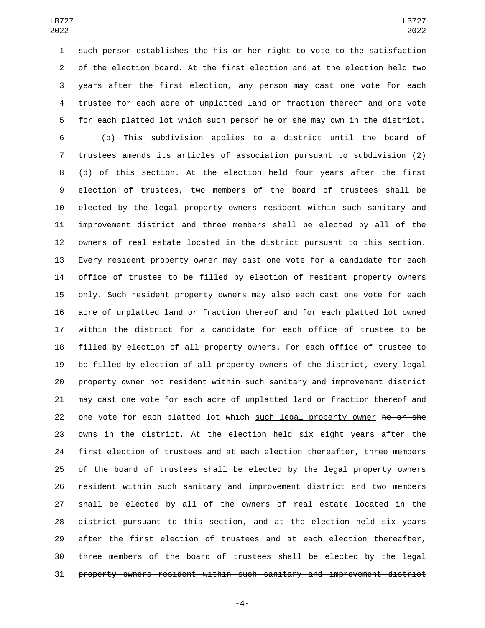1 such person establishes the his or her right to vote to the satisfaction of the election board. At the first election and at the election held two years after the first election, any person may cast one vote for each trustee for each acre of unplatted land or fraction thereof and one vote 5 for each platted lot which such person he or she may own in the district.

 (b) This subdivision applies to a district until the board of trustees amends its articles of association pursuant to subdivision (2) (d) of this section. At the election held four years after the first election of trustees, two members of the board of trustees shall be elected by the legal property owners resident within such sanitary and improvement district and three members shall be elected by all of the owners of real estate located in the district pursuant to this section. Every resident property owner may cast one vote for a candidate for each office of trustee to be filled by election of resident property owners only. Such resident property owners may also each cast one vote for each acre of unplatted land or fraction thereof and for each platted lot owned within the district for a candidate for each office of trustee to be filled by election of all property owners. For each office of trustee to be filled by election of all property owners of the district, every legal property owner not resident within such sanitary and improvement district may cast one vote for each acre of unplatted land or fraction thereof and 22 one vote for each platted lot which such legal property owner he or she 23 owns in the district. At the election held six eight years after the first election of trustees and at each election thereafter, three members of the board of trustees shall be elected by the legal property owners resident within such sanitary and improvement district and two members shall be elected by all of the owners of real estate located in the 28 district pursuant to this section<del>, and at the election held six years</del> after the first election of trustees and at each election thereafter, three members of the board of trustees shall be elected by the legal property owners resident within such sanitary and improvement district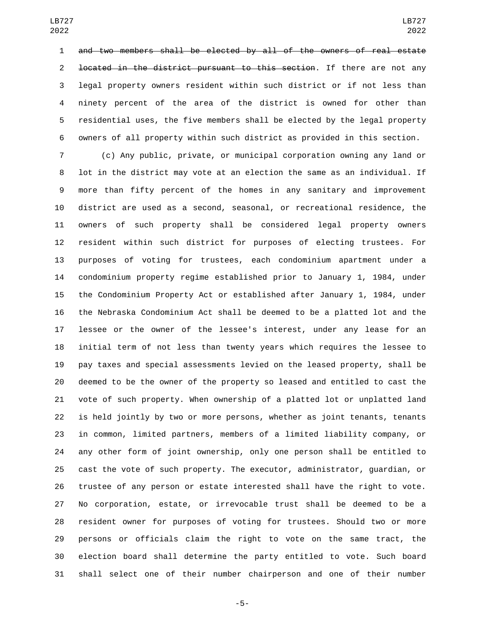and two members shall be elected by all of the owners of real estate 2 <del>located in the district pursuant to this section</del>. If there are not any legal property owners resident within such district or if not less than ninety percent of the area of the district is owned for other than residential uses, the five members shall be elected by the legal property owners of all property within such district as provided in this section.

 (c) Any public, private, or municipal corporation owning any land or lot in the district may vote at an election the same as an individual. If more than fifty percent of the homes in any sanitary and improvement district are used as a second, seasonal, or recreational residence, the owners of such property shall be considered legal property owners resident within such district for purposes of electing trustees. For purposes of voting for trustees, each condominium apartment under a condominium property regime established prior to January 1, 1984, under the Condominium Property Act or established after January 1, 1984, under the Nebraska Condominium Act shall be deemed to be a platted lot and the lessee or the owner of the lessee's interest, under any lease for an initial term of not less than twenty years which requires the lessee to pay taxes and special assessments levied on the leased property, shall be deemed to be the owner of the property so leased and entitled to cast the vote of such property. When ownership of a platted lot or unplatted land is held jointly by two or more persons, whether as joint tenants, tenants in common, limited partners, members of a limited liability company, or any other form of joint ownership, only one person shall be entitled to cast the vote of such property. The executor, administrator, guardian, or trustee of any person or estate interested shall have the right to vote. No corporation, estate, or irrevocable trust shall be deemed to be a resident owner for purposes of voting for trustees. Should two or more persons or officials claim the right to vote on the same tract, the election board shall determine the party entitled to vote. Such board shall select one of their number chairperson and one of their number

-5-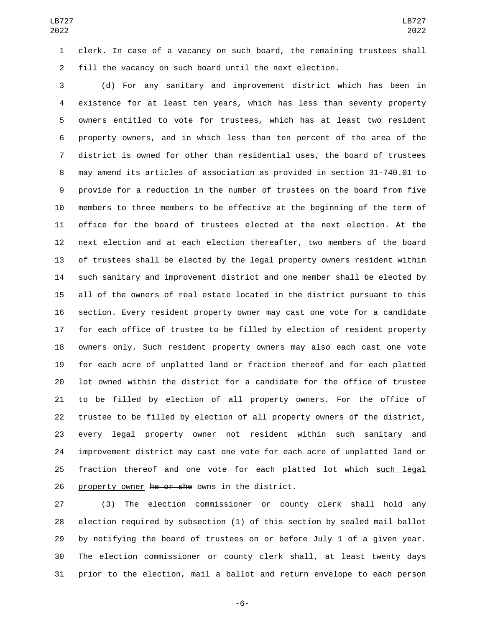clerk. In case of a vacancy on such board, the remaining trustees shall fill the vacancy on such board until the next election.

 (d) For any sanitary and improvement district which has been in existence for at least ten years, which has less than seventy property owners entitled to vote for trustees, which has at least two resident property owners, and in which less than ten percent of the area of the district is owned for other than residential uses, the board of trustees may amend its articles of association as provided in section 31-740.01 to provide for a reduction in the number of trustees on the board from five members to three members to be effective at the beginning of the term of office for the board of trustees elected at the next election. At the next election and at each election thereafter, two members of the board of trustees shall be elected by the legal property owners resident within such sanitary and improvement district and one member shall be elected by all of the owners of real estate located in the district pursuant to this section. Every resident property owner may cast one vote for a candidate for each office of trustee to be filled by election of resident property owners only. Such resident property owners may also each cast one vote for each acre of unplatted land or fraction thereof and for each platted lot owned within the district for a candidate for the office of trustee to be filled by election of all property owners. For the office of trustee to be filled by election of all property owners of the district, every legal property owner not resident within such sanitary and improvement district may cast one vote for each acre of unplatted land or 25 fraction thereof and one vote for each platted lot which such legal 26 property owner he or she owns in the district.

 (3) The election commissioner or county clerk shall hold any election required by subsection (1) of this section by sealed mail ballot by notifying the board of trustees on or before July 1 of a given year. The election commissioner or county clerk shall, at least twenty days prior to the election, mail a ballot and return envelope to each person

-6-